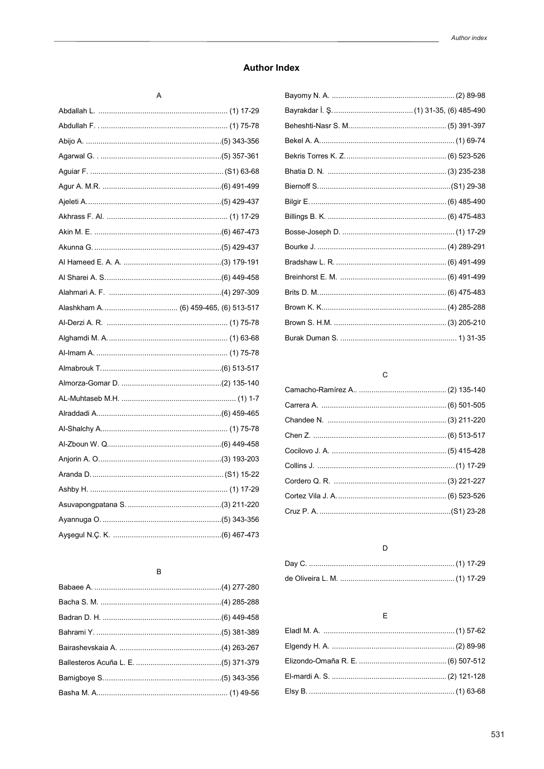## **Author Index**

### $\mathsf{A}$

#### $\sf B$

## $\rm{C}$

# $\mathsf D$

## $\mathsf E$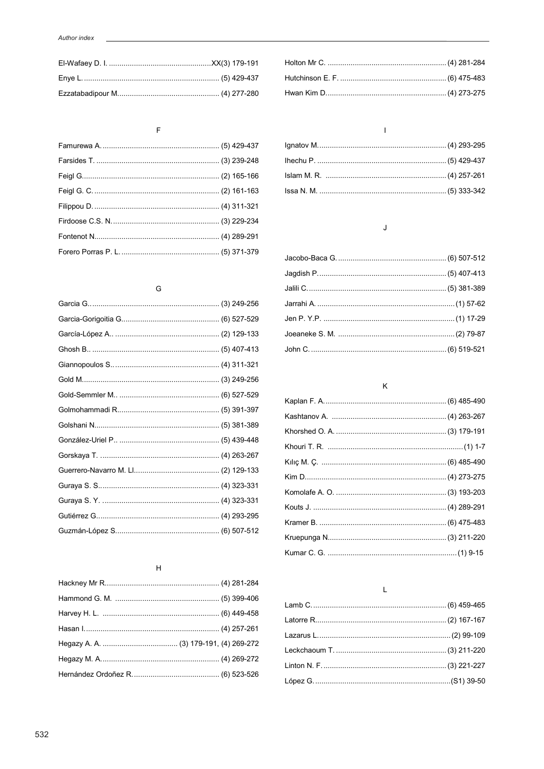### $\overline{F}$

## $\mathsf G$

# $\overline{H}$

### $\bar{1}$

## $\mathsf J$

### $\mathsf K$

### $\bar{\mathsf{L}}$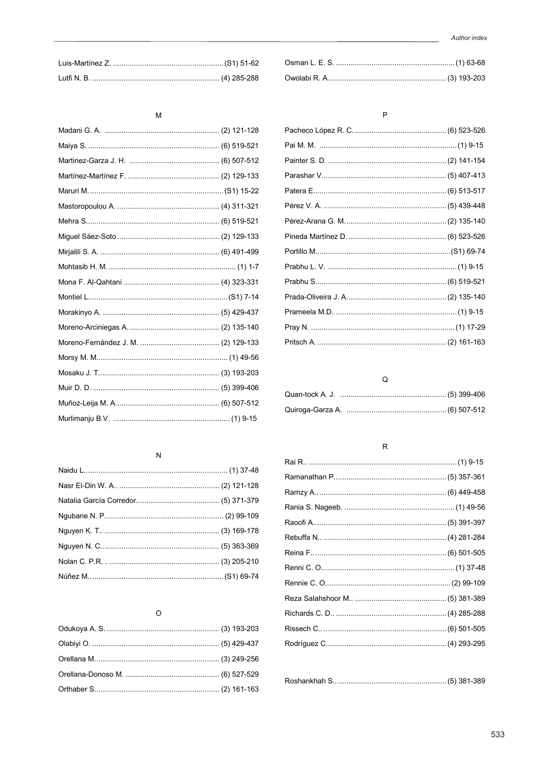#### ${\sf M}$

### $\overline{N}$

### $\circ$

### $\mathsf{P}$

# $\mathsf Q$

#### $\sf R$